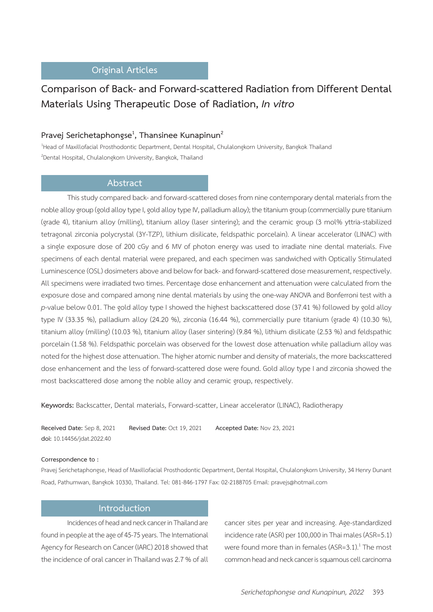# **Original Articles**

# **Comparison of Back- and Forward-scattered Radiation from Different Dental Materials Using Therapeutic Dose of Radiation,** *In vitro*

# **Pravej Serichetaphongse<sup>1</sup> , Thansinee Kunapinun2**

1 Head of Maxillofacial Prosthodontic Department, Dental Hospital, Chulalongkorn University, Bangkok Thailand <sup>2</sup>Dental Hospital, Chulalongkorn University, Bangkok, Thailand

## **Abstract**

This study compared back- and forward-scattered doses from nine contemporary dental materials from the noble alloy group (gold alloy type I, gold alloy type IV, palladium alloy); the titanium group (commercially pure titanium (grade 4), titanium alloy (milling), titanium alloy (laser sintering); and the ceramic group (3 mol% yttria-stabilized tetragonal zirconia polycrystal (3Y-TZP), lithium disilicate, feldspathic porcelain). A linear accelerator (LINAC) with a single exposure dose of 200 cGy and 6 MV of photon energy was used to irradiate nine dental materials. Five specimens of each dental material were prepared, and each specimen was sandwiched with Optically Stimulated Luminescence (OSL) dosimeters above and below for back- and forward-scattered dose measurement, respectively. All specimens were irradiated two times. Percentage dose enhancement and attenuation were calculated from the exposure dose and compared among nine dental materials by using the one-way ANOVA and Bonferroni test with a *p*-value below 0.01. The gold alloy type I showed the highest backscattered dose (37.41 %) followed by gold alloy type IV (33.35 %), palladium alloy (24.20 %), zirconia (16.44 %), commercially pure titanium (grade 4) (10.30 %), titanium alloy (milling) (10.03 %), titanium alloy (laser sintering) (9.84 %), lithium disilicate (2.53 %) and feldspathic porcelain (1.58 %). Feldspathic porcelain was observed for the lowest dose attenuation while palladium alloy was noted for the highest dose attenuation. The higher atomic number and density of materials, the more backscattered dose enhancement and the less of forward-scattered dose were found. Gold alloy type I and zirconia showed the most backscattered dose among the noble alloy and ceramic group, respectively.

**Keywords:** Backscatter, Dental materials, Forward-scatter, Linear accelerator (LINAC), Radiotherapy

**Received Date:** Sep 8, 2021 **Revised Date:** Oct 19, 2021 **Accepted Date:** Nov 23, 2021 **doi:** 10.14456/jdat.2022.40

#### **Correspondence to :**

Pravej Serichetaphongse, Head of Maxillofacial Prosthodontic Department, Dental Hospital, Chulalongkorn University, 34 Henry Dunant Road, Pathumwan, Bangkok 10330, Thailand. Tel: 081-846-1797 Fax: 02-2188705 Email: pravejs@hotmail.com

### **Introduction**

Incidences of head and neck cancer in Thailand are found in people at the age of 45-75 years. The International Agency for Research on Cancer (IARC) 2018 showed that the incidence of oral cancer in Thailand was 2.7 % of all cancer sites per year and increasing. Age-standardized incidence rate (ASR) per 100,000 in Thai males (ASR=5.1) were found more than in females (ASR=3.1). $^1$  The most common head and neck cancer is squamous cell carcinoma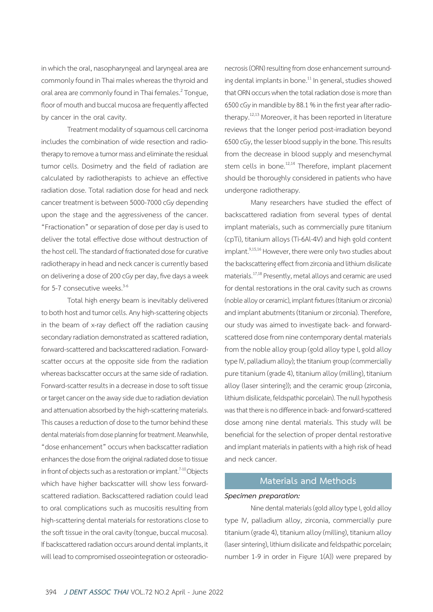in which the oral, nasopharyngeal and laryngeal area are commonly found in Thai males whereas the thyroid and oral area are commonly found in Thai females.<sup>2</sup> Tongue, floor of mouth and buccal mucosa are frequently affected by cancer in the oral cavity.

Treatment modality of squamous cell carcinoma includes the combination of wide resection and radiotherapy to remove a tumor mass and eliminate the residual tumor cells. Dosimetry and the field of radiation are calculated by radiotherapists to achieve an effective radiation dose. Total radiation dose for head and neck cancer treatment is between 5000-7000 cGy depending upon the stage and the aggressiveness of the cancer. "Fractionation" or separation of dose per day is used to deliver the total effective dose without destruction of the host cell. The standard of fractionated dose for curative radiotherapy in head and neck cancer is currently based on delivering a dose of 200 cGy per day, five days a week for 5-7 consecutive weeks. $3-6$ 

Total high energy beam is inevitably delivered to both host and tumor cells. Any high-scattering objects in the beam of x-ray deflect off the radiation causing secondary radiation demonstrated as scattered radiation, forward-scattered and backscattered radiation. Forwardscatter occurs at the opposite side from the radiation whereas backscatter occurs at the same side of radiation. Forward-scatter results in a decrease in dose to soft tissue or target cancer on the away side due to radiation deviation and attenuation absorbed by the high-scattering materials. This causes a reduction of dose to the tumor behind these dental materials from dose planning for treatment. Meanwhile,

"dose enhancement" occurs when backscatter radiation enhances the dose from the original radiated dose to tissue in front of objects such as a restoration or implant.<sup> $7-10$ </sup> Objects which have higher backscatter will show less forwardscattered radiation. Backscattered radiation could lead to oral complications such as mucositis resulting from high-scattering dental materials for restorations close to the soft tissue in the oral cavity (tongue, buccal mucosa). If backscattered radiation occurs around dental implants, it will lead to compromised osseointegration or osteoradionecrosis (ORN) resulting from dose enhancement surrounding dental implants in bone.<sup>11</sup> In general, studies showed that ORN occurs when the total radiation dose is more than 6500 cGy in mandible by 88.1 % in the first year after radiotherapy.<sup>12,13</sup> Moreover, it has been reported in literature reviews that the longer period post-irradiation beyond 6500 cGy, the lesser blood supply in the bone. This results from the decrease in blood supply and mesenchymal stem cells in bone.<sup>12,14</sup> Therefore, implant placement should be thoroughly considered in patients who have undergone radiotherapy.

Many researchers have studied the effect of backscattered radiation from several types of dental implant materials, such as commercially pure titanium (cpTi), titanium alloys (Ti-6Al-4V) and high gold content implant.<sup>9,15,16</sup> However, there were only two studies about the backscattering effect from zirconia and lithium disilicate materials.17,18 Presently, metal alloys and ceramic are used for dental restorations in the oral cavity such as crowns (noble alloy or ceramic), implant fixtures (titanium or zirconia) and implant abutments (titanium or zirconia). Therefore, our study was aimed to investigate back- and forwardscattered dose from nine contemporary dental materials from the noble alloy group (gold alloy type I, gold alloy type IV, palladium alloy); the titanium group (commercially pure titanium (grade 4), titanium alloy (milling), titanium alloy (laser sintering)); and the ceramic group (zirconia, lithium disilicate, feldspathic porcelain). The null hypothesis was that there is no difference in back- and forward-scattered dose among nine dental materials. This study will be beneficial for the selection of proper dental restorative and implant materials in patients with a high risk of head and neck cancer.

## **Materials and Methods**

#### *Specimen preparation:*

Nine dental materials (gold alloy type I, gold alloy type IV, palladium alloy, zirconia, commercially pure titanium (grade 4), titanium alloy (milling), titanium alloy (laser sintering), lithium disilicate and feldspathic porcelain; number 1-9 in order in Figure 1(A)) were prepared by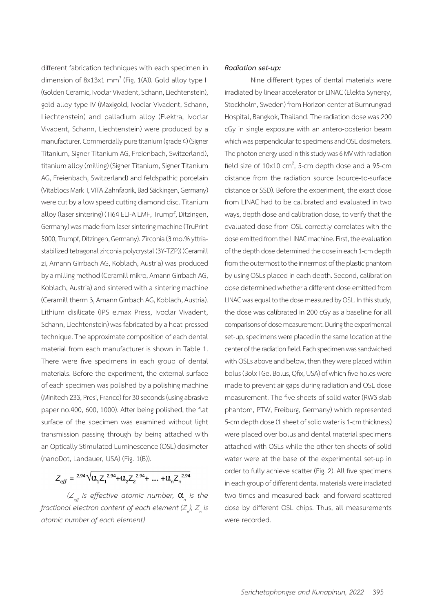different fabrication techniques with each specimen in dimension of 8x13x1 mm<sup>3</sup> (Fig. 1(A)). Gold alloy type I (Golden Ceramic, Ivoclar Vivadent, Schann, Liechtenstein), gold alloy type IV (Maxigold, Ivoclar Vivadent, Schann, Liechtenstein) and palladium alloy (Elektra, Ivoclar Vivadent, Schann, Liechtenstein) were produced by a manufacturer. Commercially pure titanium (grade 4) (Signer Titanium, Signer Titanium AG, Freienbach, Switzerland), titanium alloy (milling) (Signer Titanium, Signer Titanium AG, Freienbach, Switzerland) and feldspathic porcelain (Vitablocs Mark II, VITA Zahnfabrik, Bad Säckingen, Germany) were cut by a low speed cutting diamond disc. Titanium alloy (laser sintering) (Ti64 ELI-A LMF, Trumpf, Ditzingen, Germany) was made from laser sintering machine (TruPrint 5000, Trumpf, Ditzingen, Germany). Zirconia (3 mol% yttriastabilized tetragonal zirconia polycrystal (3Y-TZP)) (Ceramill zi, Amann Girrbach AG, Koblach, Austria) was produced by a milling method (Ceramill mikro, Amann Girrbach AG, Koblach, Austria) and sintered with a sintering machine (Ceramill therm 3, Amann Girrbach AG, Koblach, Austria). Lithium disilicate (IPS e.max Press, Ivoclar Vivadent, Schann, Liechtenstein) was fabricated by a heat-pressed technique. The approximate composition of each dental material from each manufacturer is shown in Table 1. There were five specimens in each group of dental materials. Before the experiment, the external surface of each specimen was polished by a polishing machine (Minitech 233, Presi, France) for 30 seconds (using abrasive paper no.400, 600, 1000). After being polished, the flat surface of the specimen was examined without light transmission passing through by being attached with an Optically Stimulated Luminescence (OSL) dosimeter (nanoDot, Landauer, USA) (Fig. 1(B)).

 $Z_{\text{eff}} = {}^{2.94} \sqrt{\alpha_1 Z_1^{2.94} + \alpha_2 Z_2^{2.94} + \dots + \alpha_n Z_n^{2.94}}$ 

 $(Z_{_{\it eff}}$  is effective atomic number,  $\bm{\alpha}_{_{\sf n}}$  is the *fractional electron content of each element (Z<sup>n</sup> ), Z<sup>n</sup> is atomic number of each element)*

#### *Radiation set-up:*

Nine different types of dental materials were irradiated by linear accelerator or LINAC (Elekta Synergy, Stockholm, Sweden) from Horizon center at Bumrungrad Hospital, Bangkok, Thailand. The radiation dose was 200 cGy in single exposure with an antero-posterior beam which was perpendicular to specimens and OSL dosimeters. The photon energy used in this study was 6 MV with radiation field size of  $10x10$  cm<sup>2</sup>, 5-cm depth dose and a 95-cm distance from the radiation source (source-to-surface distance or SSD). Before the experiment, the exact dose from LINAC had to be calibrated and evaluated in two ways, depth dose and calibration dose, to verify that the evaluated dose from OSL correctly correlates with the dose emitted from the LINAC machine. First, the evaluation of the depth dose determined the dose in each 1-cm depth from the outermost to the innermost of the plastic phantom by using OSLs placed in each depth. Second, calibration dose determined whether a different dose emitted from LINAC was equal to the dose measured by OSL. In this study, the dose was calibrated in 200 cGy as a baseline for all comparisons of dose measurement. During the experimental set-up, specimens were placed in the same location at the center of the radiation field. Each specimen was sandwiched with OSLs above and below, then they were placed within bolus (Bolx I Gel Bolus, Qfix, USA) of which five holes were made to prevent air gaps during radiation and OSL dose measurement. The five sheets of solid water (RW3 slab phantom, PTW, Freiburg, Germany) which represented 5-cm depth dose (1 sheet of solid water is 1-cm thickness) were placed over bolus and dental material specimens attached with OSLs while the other ten sheets of solid water were at the base of the experimental set-up in order to fully achieve scatter (Fig. 2). All five specimens in each group of different dental materials were irradiated two times and measured back- and forward-scattered dose by different OSL chips. Thus, all measurements were recorded.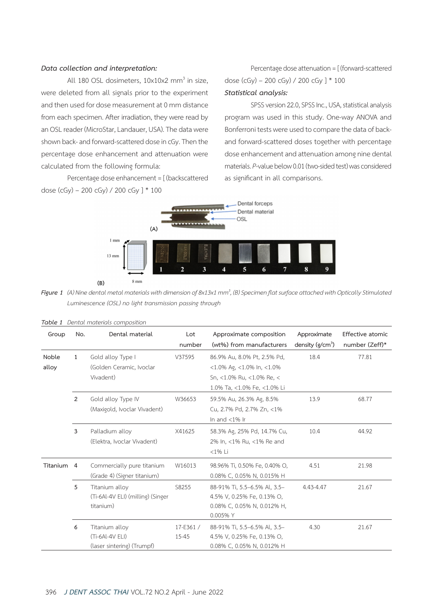#### *Data collection and interpretation:*

All 180 OSL dosimeters,  $10\times10\times2$  mm<sup>3</sup> in size, were deleted from all signals prior to the experiment and then used for dose measurement at 0 mm distance from each specimen. After irradiation, they were read by an OSL reader (MicroStar, Landauer, USA). The data were shown back- and forward-scattered dose in cGy. Then the percentage dose enhancement and attenuation were calculated from the following formula:

Percentage dose enhancement = [ (backscattered dose (cGy) – 200 cGy) / 200 cGy ] \* 100

Percentage dose attenuation = [ (forward-scattered dose (cGy) – 200 cGy) / 200 cGy ] \* 100 *Statistical analysis:*

SPSS version 22.0, SPSS Inc., USA, statistical analysis program was used in this study. One-way ANOVA and Bonferroni tests were used to compare the data of backand forward-scattered doses together with percentage dose enhancement and attenuation among nine dental materials. *P*-value below 0.01 (two-sided test) was considered as significant in all comparisons.



**Figure 1** (A) Nine dental metal materials with dimension of 8x13x1 mm $^3$ , (B) Specimen flat surface attached with Optically Stimulated  *Luminescence (OSL) no light transmission passing through*

| Group          | No.            | Dental material                                                   | Lot<br>number     | Approximate composition<br>(wt%) from manufacturers                                                                           | Approximate<br>density ( $g/cm3$ ) | Effective atomic<br>number (Zeff)* |
|----------------|----------------|-------------------------------------------------------------------|-------------------|-------------------------------------------------------------------------------------------------------------------------------|------------------------------------|------------------------------------|
| Noble<br>alloy | $\mathbf{1}$   | Gold alloy Type I<br>(Golden Ceramic, Ivoclar<br>Vivadent)        | V37595            | 86.9% Au, 8.0% Pt, 2.5% Pd,<br>$<$ 1.0% Ag, $<$ 1.0% In, $<$ 1.0%<br>Sn, <1.0% Ru, <1.0% Re, <<br>1.0% Ta, <1.0% Fe, <1.0% Li | 18.4                               | 77.81                              |
|                | 2              | Gold alloy Type IV<br>(Maxigold, Ivoclar Vivadent)                | W36653            | 59.5% Au, 26.3% Ag, 8.5%<br>Cu, 2.7% Pd, 2.7% Zn, <1%<br>In and $<$ 1% In                                                     | 13.9                               | 68.77                              |
|                | 3              | Palladium alloy<br>(Elektra, Ivoclar Vivadent)                    | X41625            | 58.3% Ag, 25% Pd, 14.7% Cu,<br>2% In, <1% Ru, <1% Re and<br><1% Li                                                            | 10.4                               | 44.92                              |
| Titanium       | $\overline{4}$ | Commercially pure titanium<br>(Grade 4) (Signer titanium)         | W16013            | 98.96% Ti, 0.50% Fe, 0.40% O,<br>0.08% C, 0.05% N, 0.015% H                                                                   | 4.51                               | 21.98                              |
|                | 5              | Titanium alloy<br>(Ti-6Al-4V ELI) (milling) (Singer<br>titanium)  | S8255             | 88-91% Ti, 5.5-6.5% Al, 3.5-<br>4.5% V, 0.25% Fe, 0.13% O,<br>0.08% C, 0.05% N, 0.012% H,<br>0.005% Y                         | 4.43-4.47                          | 21.67                              |
|                | 6              | Titanium alloy<br>$(Ti-6Al-4V ELI)$<br>(laser sintering) (Trumpf) | 17-E361/<br>15-45 | 88-91% Ti, 5.5-6.5% Al, 3.5-<br>4.5% V, 0.25% Fe, 0.13% O,<br>0.08% C, 0.05% N, 0.012% H                                      | 4.30                               | 21.67                              |

|  | Table 1 Dental materials composition |
|--|--------------------------------------|
|  |                                      |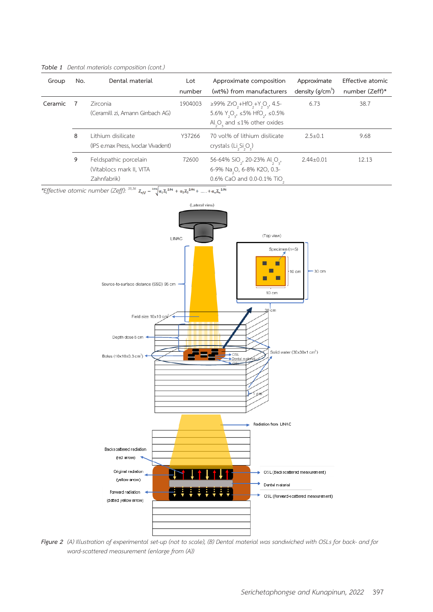| Group   | No. | Dental material                                                  | Lot<br>number | Approximate composition<br>(wt%) from manufacturers                                                                                                                                        | Approximate<br>density ( $g/cm3$ ) | Effective atomic<br>number (Zeff)* |
|---------|-----|------------------------------------------------------------------|---------------|--------------------------------------------------------------------------------------------------------------------------------------------------------------------------------------------|------------------------------------|------------------------------------|
| Ceramic |     | <b>Zirconia</b><br>(Ceramill zi, Amann Girrbach AG)              | 1904003       | ≥99% ZrO <sub>2</sub> +HfO <sub>2</sub> +Y <sub>2</sub> O <sub>3</sub> , 4.5-<br>5.6% $Y_0Q_3$ , ≤5% HfO <sub>2</sub> , ≤0.5%<br>Al <sub>2</sub> O <sub>2</sub> and $\leq$ 1% other oxides | 6.73                               | 38.7                               |
|         | 8   | Lithium disilicate<br>(IPS e.max Press, Ivoclar Vivadent)        | Y37266        | 70 vol% of lithium disilicate<br>crystals (Li <sub>2</sub> Si <sub>2</sub> O <sub>2</sub> )                                                                                                | $2.5 \pm 0.1$                      | 9.68                               |
|         | 9   | Feldspathic porcelain<br>(Vitablocs mark II, VITA<br>Zahnfabrik) | 72600         | 56-64% SiO <sub>2</sub> , 20-23% Al <sub>2</sub> O <sub>3</sub> ,<br>6-9% Na <sub>2</sub> O, 6-8% K2O, 0.3-<br>0.6% CaO and 0.0-0.1% TiO                                                   | $2.44 \pm 0.01$                    | 12.13                              |

*Table 1 Dental materials composition (cont.)*

*\*Effective atomic number (Zeff): 35,36*



Figure 2 (A) Illustration of experimental set-up (not to scale), (B) Dental material was sandwiched with OSLs for back- and for  *ward-scattered measurement (enlarge from (A))*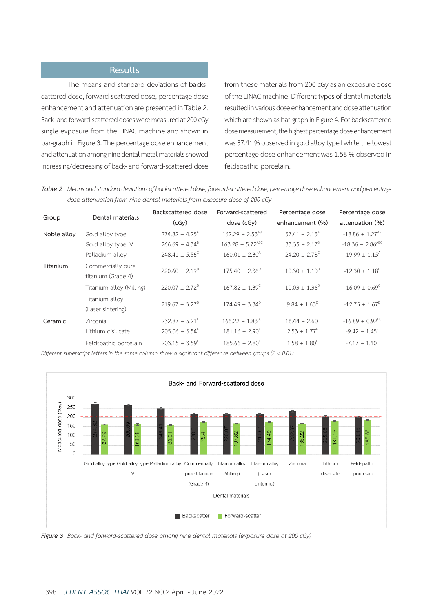# **Results**

The means and standard deviations of backscattered dose, forward-scattered dose, percentage dose enhancement and attenuation are presented in Table 2. Back- and forward-scattered doses were measured at 200 cGy single exposure from the LINAC machine and shown in bar-graph in Figure 3. The percentage dose enhancement and attenuation among nine dental metal materials showed increasing/decreasing of back- and forward-scattered dose from these materials from 200 cGy as an exposure dose of the LINAC machine. Different types of dental materials resulted in various dose enhancement and dose attenuation which are shown as bar-graph in Figure 4. For backscattered dose measurement, the highest percentage dose enhancement was 37.41 % observed in gold alloy type I while the lowest percentage dose enhancement was 1.58 % observed in feldspathic porcelain.

| Table 2 Means and standard deviations of backscattered dose, forward-scattered dose, percentage dose enhancement and percentage |
|---------------------------------------------------------------------------------------------------------------------------------|
| dose attenuation from nine dental materials from exposure dose of 200 cGy                                                       |

| Group       | Dental materials                        | Backscattered dose<br>(cGy)    | Forward-scattered<br>dose (cGy) | Percentage dose<br>enhancement (%) | Percentage dose<br>attenuation (%) |
|-------------|-----------------------------------------|--------------------------------|---------------------------------|------------------------------------|------------------------------------|
| Noble alloy | Gold alloy type I                       | $274.82 \pm 4.25$ <sup>A</sup> | $162.29 \pm 2.53^{AB}$          | $37.41 + 2.13A$                    | $-18.86 \pm 1.27^{AB}$             |
|             | Gold alloy type IV                      | $266.69 \pm 4.34^8$            | $163.28 \pm 5.72^{ABC}$         | $33.35 \pm 2.17^8$                 | $-18.36 \pm 2.86$ <sup>ABC</sup>   |
|             | Palladium alloy                         | $248.41 \pm 5.56^{\circ}$      | $160.01 \pm 2.30^{\circ}$       | $24.20 \pm 2.78^{\circ}$           | $-19.99 \pm 1.15$ <sup>A</sup>     |
| Titanium    | Commercially pure<br>titanium (Grade 4) | $220.60 + 2.19^{\circ}$        | $175.40 + 2.36^{\circ}$         | $10.30 + 1.10^{D}$                 | $-12.30 \pm 1.18^{\circ}$          |
|             | Titanium alloy (Milling)                | $220.07 + 2.72^{\circ}$        | $167.82 + 1.39^{\circ}$         | $10.03 + 1.36^D$                   | $-16.09 \pm 0.69^{\circ}$          |
|             | Titanium alloy<br>(Laser sintering)     | $219.67 + 3.27^{\circ}$        | $174.49 + 3.34^{\circ}$         | $9.84 + 1.63^D$                    | $-12.75 + 1.67^{\circ}$            |
| Ceramic     | Zirconia                                | $232.87 \pm 5.21^E$            | $166.22 \pm 1.83^{\text{BC}}$   | $16.44 \pm 2.60^{\text{E}}$        | $-16.89 \pm 0.92^{\text{BC}}$      |
|             | Lithium disilicate                      | $205.06 \pm 3.54$ <sup>*</sup> | $181.16 \pm 2.90^E$             | $2.53 \pm 1.77^F$                  | $-9.42 \pm 1.45^E$                 |
|             | Feldspathic porcelain                   | $203.15 \pm 3.59$ <sup>F</sup> | $185.66 \pm 2.80^{\circ}$       | $1.58 \pm 1.80^{\text{F}}$         | $-7.17 \pm 1.40^{\text{h}}$        |

*Different superscript letters in the same column show a significant difference between groups (P < 0.01)*



*Figure 3 Back- and forward-scattered dose among nine dental materials (exposure dose at 200 cGy)*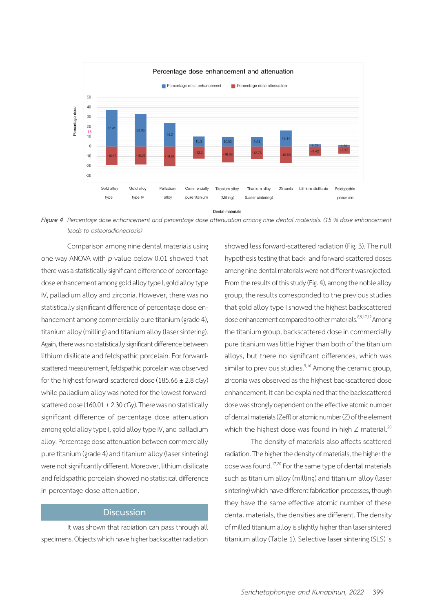

Figure 4 Percentage dose enhancement and percentage dose attenuation among nine dental materials. (15 % dose enhancement  *leads to osteoradionecrosis)*

Comparison among nine dental materials using one-way ANOVA with *p*-value below 0.01 showed that there was a statistically significant difference of percentage dose enhancement among gold alloy type I, gold alloy type IV, palladium alloy and zirconia. However, there was no statistically significant difference of percentage dose enhancement among commercially pure titanium (grade 4), titanium alloy (milling) and titanium alloy (laser sintering). Again, there was no statistically significant difference between lithium disilicate and feldspathic porcelain. For forwardscattered measurement, feldspathic porcelain was observed for the highest forward-scattered dose ( $185.66 \pm 2.8$  cGy) while palladium alloy was noted for the lowest forwardscattered dose (160.01  $\pm$  2.30 cGy). There was no statistically significant difference of percentage dose attenuation among gold alloy type I, gold alloy type IV, and palladium alloy. Percentage dose attenuation between commercially pure titanium (grade 4) and titanium alloy (laser sintering) were not significantly different. Moreover, lithium disilicate and feldspathic porcelain showed no statistical difference in percentage dose attenuation.

## **Discussion**

It was shown that radiation can pass through all specimens. Objects which have higher backscatter radiation showed less forward-scattered radiation (Fig. 3). The null hypothesis testing that back- and forward-scattered doses among nine dental materials were not different was rejected. From the results of this study (Fig. 4), among the noble alloy group, the results corresponded to the previous studies that gold alloy type I showed the highest backscattered dose enhancement compared to other materials.<sup>8,9,17,19</sup> Among the titanium group, backscattered dose in commercially pure titanium was little higher than both of the titanium alloys, but there no significant differences, which was similar to previous studies. $9,16$  Among the ceramic group, zirconia was observed as the highest backscattered dose enhancement. It can be explained that the backscattered dose was strongly dependent on the effective atomic number of dental materials (Zeff) or atomic number (Z) of the element which the highest dose was found in high  $Z$  material.<sup>20</sup>

The density of materials also affects scattered radiation. The higher the density of materials, the higher the dose was found.17,20 For the same type of dental materials such as titanium alloy (milling) and titanium alloy (laser sintering) which have different fabrication processes, though they have the same effective atomic number of these dental materials, the densities are different. The density of milled titanium alloy is slightly higher than laser sintered titanium alloy (Table 1). Selective laser sintering (SLS) is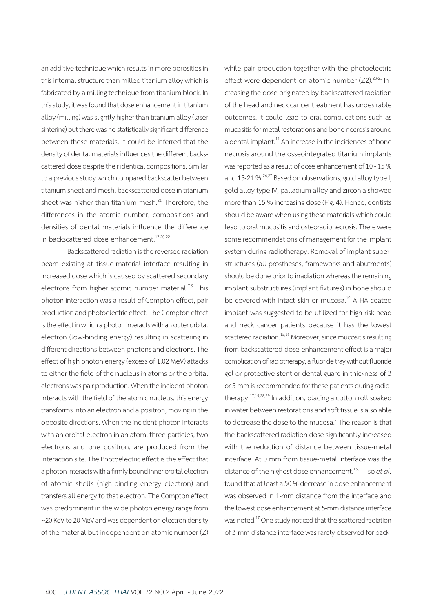an additive technique which results in more porosities in this internal structure than milled titanium alloy which is fabricated by a milling technique from titanium block. In this study, it was found that dose enhancement in titanium alloy (milling) was slightly higher than titanium alloy (laser sintering) but there was no statistically significant difference between these materials. It could be inferred that the density of dental materials influences the different backscattered dose despite their identical compositions. Similar to a previous study which compared backscatter between titanium sheet and mesh, backscattered dose in titanium sheet was higher than titanium mesh.<sup>21</sup> Therefore, the differences in the atomic number, compositions and densities of dental materials influence the difference in backscattered dose enhancement.<sup>17,20,22</sup>

Backscattered radiation is the reversed radiation beam existing at tissue-material interface resulting in increased dose which is caused by scattered secondary electrons from higher atomic number material.<sup> $7-9$ </sup> This photon interaction was a result of Compton effect, pair production and photoelectric effect. The Compton effect is the effect in which a photon interacts with an outer orbital electron (low-binding energy) resulting in scattering in different directions between photons and electrons. The effect of high photon energy (excess of 1.02 MeV) attacks to either the field of the nucleus in atoms or the orbital electrons was pair production. When the incident photon interacts with the field of the atomic nucleus, this energy transforms into an electron and a positron, moving in the opposite directions. When the incident photon interacts with an orbital electron in an atom, three particles, two electrons and one positron, are produced from the interaction site. The Photoelectric effect is the effect that a photon interacts with a firmly bound inner orbital electron of atomic shells (high-binding energy electron) and transfers all energy to that electron. The Compton effect was predominant in the wide photon energy range from ~20 KeV to 20 MeV and was dependent on electron density of the material but independent on atomic number (Z) while pair production together with the photoelectric effect were dependent on atomic number  $(Z2)$ .  $23-25$  Increasing the dose originated by backscattered radiation of the head and neck cancer treatment has undesirable outcomes. It could lead to oral complications such as mucositis for metal restorations and bone necrosis around a dental implant.<sup>11</sup> An increase in the incidences of bone necrosis around the osseointegrated titanium implants was reported as a result of dose enhancement of 10 - 15 % and 15-21 %<sup>26,27</sup> Based on observations, gold alloy type I, gold alloy type IV, palladium alloy and zirconia showed more than 15 % increasing dose (Fig. 4). Hence, dentists should be aware when using these materials which could lead to oral mucositis and osteoradionecrosis. There were some recommendations of management for the implant system during radiotherapy. Removal of implant superstructures (all prostheses, frameworks and abutments) should be done prior to irradiation whereas the remaining implant substructures (implant fixtures) in bone should be covered with intact skin or mucosa.<sup>10</sup> A HA-coated implant was suggested to be utilized for high-risk head and neck cancer patients because it has the lowest scattered radiation.<sup>15,16</sup> Moreover, since mucositis resulting from backscattered-dose-enhancement effect is a major complication of radiotherapy, a fluoride tray without fluoride gel or protective stent or dental guard in thickness of 3 or 5 mm is recommended for these patients during radiotherapy.17,19,28,29 In addition, placing a cotton roll soaked in water between restorations and soft tissue is also able to decrease the dose to the mucosa.<sup>7</sup> The reason is that the backscattered radiation dose significantly increased with the reduction of distance between tissue-metal interface. At 0 mm from tissue-metal interface was the distance of the highest dose enhancement.<sup>15,17</sup> Tso *et al.* found that at least a 50 % decrease in dose enhancement was observed in 1-mm distance from the interface and the lowest dose enhancement at 5-mm distance interface was noted.<sup>17</sup> One study noticed that the scattered radiation of 3-mm distance interface was rarely observed for back-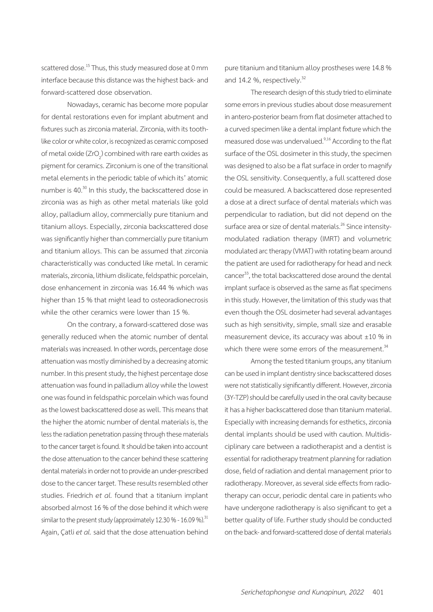scattered dose.<sup>15</sup> Thus, this study measured dose at 0 mm interface because this distance was the highest back- and forward-scattered dose observation.

Nowadays, ceramic has become more popular for dental restorations even for implant abutment and fixtures such as zirconia material. Zirconia, with its toothlike color or white color, is recognized as ceramic composed of metal oxide (ZrO<sub>2</sub>) combined with rare earth oxides as pigment for ceramics. Zirconium is one of the transitional metal elements in the periodic table of which its' atomic number is 40.<sup>30</sup> In this study, the backscattered dose in zirconia was as high as other metal materials like gold alloy, palladium alloy, commercially pure titanium and titanium alloys. Especially, zirconia backscattered dose was significantly higher than commercially pure titanium and titanium alloys. This can be assumed that zirconia characteristically was conducted like metal. In ceramic materials, zirconia, lithium disilicate, feldspathic porcelain, dose enhancement in zirconia was 16.44 % which was higher than 15 % that might lead to osteoradionecrosis while the other ceramics were lower than 15 %.

On the contrary, a forward-scattered dose was generally reduced when the atomic number of dental materials was increased. In other words, percentage dose attenuation was mostly diminished by a decreasing atomic number. In this present study, the highest percentage dose attenuation was found in palladium alloy while the lowest one was found in feldspathic porcelain which was found as the lowest backscattered dose as well. This means that the higher the atomic number of dental materials is, the less the radiation penetration passing through these materials to the cancer target is found. It should be taken into account the dose attenuation to the cancer behind these scattering dental materials in order not to provide an under-prescribed dose to the cancer target. These results resembled other studies. Friedrich *et al.* found that a titanium implant absorbed almost 16 % of the dose behind it which were similar to the present study (approximately 12.30 % - 16.09 %).<sup>31</sup> Again, Çatli *et al.* said that the dose attenuation behind

pure titanium and titanium alloy prostheses were 14.8 % and 14.2 %, respectively.<sup>32</sup>

The research design of this study tried to eliminate some errors in previous studies about dose measurement in antero-posterior beam from flat dosimeter attached to a curved specimen like a dental implant fixture which the measured dose was undervalued.<sup>9,16</sup> According to the flat surface of the OSL dosimeter in this study, the specimen was designed to also be a flat surface in order to magnify the OSL sensitivity. Consequently, a full scattered dose could be measured. A backscattered dose represented a dose at a direct surface of dental materials which was perpendicular to radiation, but did not depend on the surface area or size of dental materials.<sup>26</sup> Since intensitymodulated radiation therapy (IMRT) and volumetric modulated arc therapy (VMAT) with rotating beam around the patient are used for radiotherapy for head and neck cancer<sup>33</sup>, the total backscattered dose around the dental implant surface is observed as the same as flat specimens in this study. However, the limitation of this study was that even though the OSL dosimeter had several advantages such as high sensitivity, simple, small size and erasable measurement device, its accuracy was about  $\pm 10$  % in which there were some errors of the measurement.<sup>34</sup>

Among the tested titanium groups, any titanium can be used in implant dentistry since backscattered doses were not statistically significantly different. However, zirconia (3Y-TZP) should be carefully used in the oral cavity because it has a higher backscattered dose than titanium material. Especially with increasing demands for esthetics, zirconia dental implants should be used with caution. Multidisciplinary care between a radiotherapist and a dentist is essential for radiotherapy treatment planning for radiation dose, field of radiation and dental management prior to radiotherapy. Moreover, as several side effects from radiotherapy can occur, periodic dental care in patients who have undergone radiotherapy is also significant to get a better quality of life. Further study should be conducted on the back- and forward-scattered dose of dental materials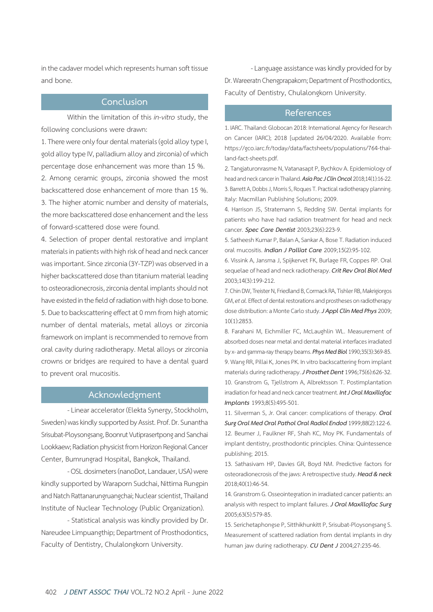in the cadaver model which represents human soft tissue and bone.

## **Conclusion**

Within the limitation of this *in-vitro* study, the following conclusions were drawn:

1. There were only four dental materials (gold alloy type I, gold alloy type IV, palladium alloy and zirconia) of which percentage dose enhancement was more than 15 %.

2. Among ceramic groups, zirconia showed the most backscattered dose enhancement of more than 15 %. 3. The higher atomic number and density of materials, the more backscattered dose enhancement and the less of forward-scattered dose were found.

4. Selection of proper dental restorative and implant materials in patients with high risk of head and neck cancer was important. Since zirconia (3Y-TZP) was observed in a higher backscattered dose than titanium material leading to osteoradionecrosis, zirconia dental implants should not have existed in the field of radiation with high dose to bone. 5. Due to backscattering effect at 0 mm from high atomic number of dental materials, metal alloys or zirconia framework on implant is recommended to remove from oral cavity during radiotherapy. Metal alloys or zirconia crowns or bridges are required to have a dental guard to prevent oral mucositis.

## **Acknowledgment**

- Linear accelerator (Elekta Synergy, Stockholm, Sweden) was kindly supported by Assist. Prof. Dr. Sunantha Srisubat-Ploysongsang, Boonrut Vutiprasertpong and Sanchai Lookkaew; Radiation physicist from Horizon Regional Cancer Center, Bumrungrad Hospital, Bangkok, Thailand.

- OSL dosimeters (nanoDot, Landauer, USA) were kindly supported by Waraporn Sudchai, Nittima Rungpin and Natch Rattanarungruangchai; Nuclear scientist, Thailand Institute of Nuclear Technology (Public Organization).

- Statistical analysis was kindly provided by Dr. Nareudee Limpuangthip; Department of Prosthodontics, Faculty of Dentistry, Chulalongkorn University.

- Language assistance was kindly provided for by Dr. Wareeratn Chengprapakorn; Department of Prosthodontics, Faculty of Dentistry, Chulalongkorn University.

### **References**

1. IARC. Thailand: Globocan 2018: International Agency for Research on Cancer (IARC); 2018 [updated 26/04/2020. Available from: https://gco.iarc.fr/today/data/factsheets/populations/764-thailand-fact-sheets.pdf.

2. Tangjaturonrasme N, Vatanasapt P, Bychkov A. Epidemiology of head and neck cancer in Thailand. *Asia Pac J Clin Oncol* 2018;14(1):16-22. 3. Barrett A, Dobbs J, Morris S, Roques T. Practical radiotherapy planning. Italy: Macmillan Publishing Solutions; 2009.

4. Harrison JS, Stratemann S, Redding SW. Dental implants for patients who have had radiation treatment for head and neck cancer. *Spec Care Dentist* 2003;23(6):223-9.

5. Satheesh Kumar P, Balan A, Sankar A, Bose T. Radiation induced oral mucositis. *Indian J Palliat Care* 2009;15(2):95-102.

6. Vissink A, Jansma J, Spijkervet FK, Burlage FR, Coppes RP. Oral sequelae of head and neck radiotherapy. *Crit Rev Oral Biol Med*  2003;14(3):199-212.

7. Chin DW, Treister N, Friedland B, Cormack RA, Tishler RB, Makrigiorgos GM, *et al.* Effect of dental restorations and prostheses on radiotherapy dose distribution: a Monte Carlo study. *J Appl Clin Med Phys* 2009; 10(1):2853.

8. Farahani M, Eichmiller FC, McLaughlin WL. Measurement of absorbed doses near metal and dental material interfaces irradiated by x- and gamma-ray therapy beams. *Phys Med Biol* 1990;35(3):369-85. 9. Wang RR, Pillai K, Jones PK. In vitro backscattering from implant materials during radiotherapy. *J Prosthet Dent* 1996;75(6):626-32. 10. Granstrom G, Tjellstrom A, Albrektsson T. Postimplantation irradiation for head and neck cancer treatment. *Int J Oral Maxillofac Implants* 1993;8(5):495-501.

11. Silverman S, Jr. Oral cancer: complications of therapy. *Oral Surg Oral Med Oral Pathol Oral Radiol Endod* 1999;88(2):122-6. 12. Beumer J, Faulkner RF, Shah KC, Moy PK. Fundamentals of implant dentistry, prosthodontic principles. China: Quintessence publishing; 2015.

13. Sathasivam HP, Davies GR, Boyd NM. Predictive factors for osteoradionecrosis of the jaws: A retrospective study. *Head & neck*  2018;40(1):46-54.

14. Granstrom G. Osseointegration in irradiated cancer patients: an analysis with respect to implant failures. *J Oral Maxillofac Surg*  2005;63(5):579-85.

15. Serichetaphongse P, Sitthikhunkitt P, Srisubat-Ploysongsang S. Measurement of scattered radiation from dental implants in dry human jaw during radiotherapy. *CU Dent J* 2004;27:235-46.